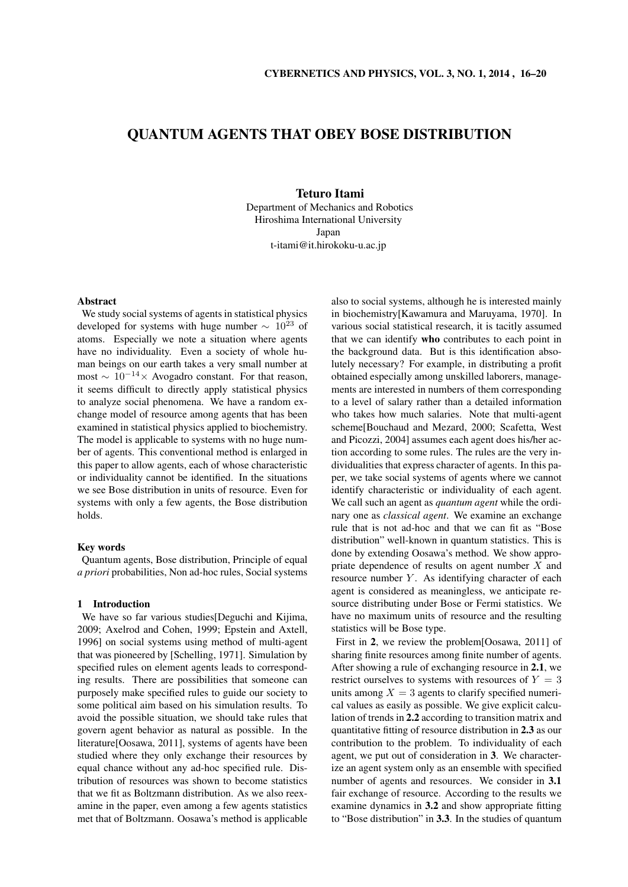# QUANTUM AGENTS THAT OBEY BOSE DISTRIBUTION

# Teturo Itami

Department of Mechanics and Robotics Hiroshima International University Japan t-itami@it.hirokoku-u.ac.jp

## Abstract

We study social systems of agents in statistical physics developed for systems with huge number *<sup>∼</sup>* <sup>10</sup><sup>23</sup> of atoms. Especially we note a situation where agents have no individuality. Even a society of whole human beings on our earth takes a very small number at most *<sup>∼</sup>* <sup>10</sup>*−*<sup>14</sup>*<sup>×</sup>* Avogadro constant. For that reason, it seems difficult to directly apply statistical physics to analyze social phenomena. We have a random exchange model of resource among agents that has been examined in statistical physics applied to biochemistry. The model is applicable to systems with no huge number of agents. This conventional method is enlarged in this paper to allow agents, each of whose characteristic or individuality cannot be identified. In the situations we see Bose distribution in units of resource. Even for systems with only a few agents, the Bose distribution holds.

# Key words

Quantum agents, Bose distribution, Principle of equal *a priori* probabilities, Non ad-hoc rules, Social systems

## 1 Introduction

We have so far various studies[Deguchi and Kijima, 2009; Axelrod and Cohen, 1999; Epstein and Axtell, 1996] on social systems using method of multi-agent that was pioneered by [Schelling, 1971]. Simulation by specified rules on element agents leads to corresponding results. There are possibilities that someone can purposely make specified rules to guide our society to some political aim based on his simulation results. To avoid the possible situation, we should take rules that govern agent behavior as natural as possible. In the literature[Oosawa, 2011], systems of agents have been studied where they only exchange their resources by equal chance without any ad-hoc specified rule. Distribution of resources was shown to become statistics that we fit as Boltzmann distribution. As we also reexamine in the paper, even among a few agents statistics met that of Boltzmann. Oosawa's method is applicable also to social systems, although he is interested mainly in biochemistry[Kawamura and Maruyama, 1970]. In various social statistical research, it is tacitly assumed that we can identify who contributes to each point in the background data. But is this identification absolutely necessary? For example, in distributing a profit obtained especially among unskilled laborers, managements are interested in numbers of them corresponding to a level of salary rather than a detailed information who takes how much salaries. Note that multi-agent scheme[Bouchaud and Mezard, 2000; Scafetta, West and Picozzi, 2004] assumes each agent does his/her action according to some rules. The rules are the very individualities that express character of agents. In this paper, we take social systems of agents where we cannot identify characteristic or individuality of each agent. We call such an agent as *quantum agent* while the ordinary one as *classical agent*. We examine an exchange rule that is not ad-hoc and that we can fit as "Bose distribution" well-known in quantum statistics. This is done by extending Oosawa's method. We show appropriate dependence of results on agent number *X* and resource number *Y*. As identifying character of each agent is considered as meaningless, we anticipate resource distributing under Bose or Fermi statistics. We have no maximum units of resource and the resulting statistics will be Bose type.

First in 2, we review the problem[Oosawa, 2011] of sharing finite resources among finite number of agents. After showing a rule of exchanging resource in 2.1, we restrict ourselves to systems with resources of  $Y = 3$ units among  $X = 3$  agents to clarify specified numerical values as easily as possible. We give explicit calculation of trends in 2.2 according to transition matrix and quantitative fitting of resource distribution in 2.3 as our contribution to the problem. To individuality of each agent, we put out of consideration in 3. We characterize an agent system only as an ensemble with specified number of agents and resources. We consider in 3.1 fair exchange of resource. According to the results we examine dynamics in 3.2 and show appropriate fitting to "Bose distribution" in 3.3. In the studies of quantum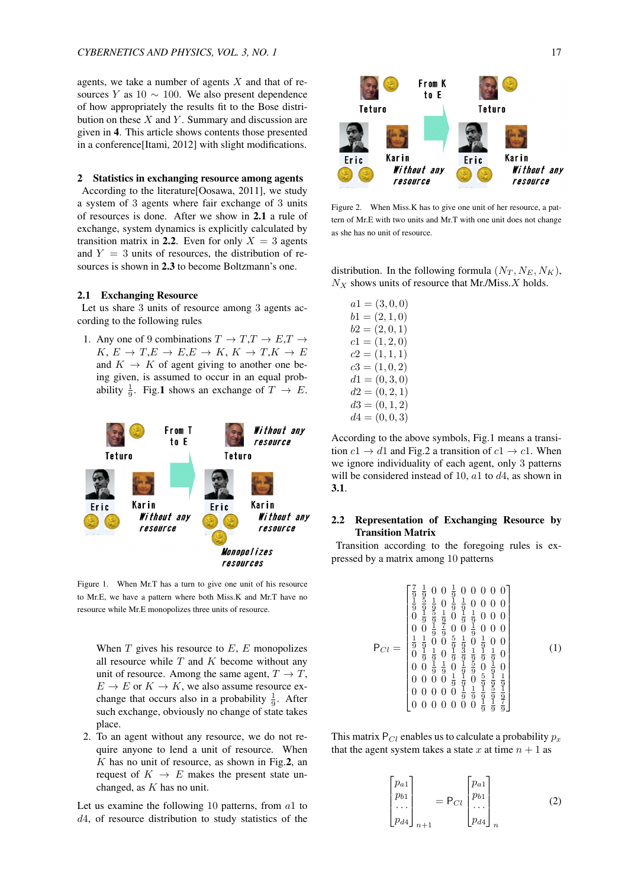agents, we take a number of agents *X* and that of resources *Y* as  $10 \sim 100$ . We also present dependence of how appropriately the results fit to the Bose distribution on these *X* and *Y* . Summary and discussion are given in 4. This article shows contents those presented in a conference[Itami, 2012] with slight modifications.

### 2 Statistics in exchanging resource among agents

According to the literature[Oosawa, 2011], we study a system of 3 agents where fair exchange of 3 units of resources is done. After we show in 2.1 a rule of exchange, system dynamics is explicitly calculated by transition matrix in 2.2. Even for only  $X = 3$  agents and  $Y = 3$  units of resources, the distribution of resources is shown in 2.3 to become Boltzmann's one.

## 2.1 Exchanging Resource

Let us share 3 units of resource among 3 agents according to the following rules

1. Any one of 9 combinations  $T \to T, T \to E, T \to$  $K, E \rightarrow T, E \rightarrow E, E \rightarrow K, K \rightarrow T, K \rightarrow E$ and  $K \rightarrow K$  of agent giving to another one being given, is assumed to occur in an equal probability  $\frac{1}{9}$ . Fig.1 shows an exchange of  $T \rightarrow E$ .



Figure 1. When Mr.T has a turn to give one unit of his resource to Mr.E, we have a pattern where both Miss.K and Mr.T have no resource while Mr.E monopolizes three units of resource.

When *T* gives his resource to *E*, *E* monopolizes all resource while *T* and *K* become without any unit of resource. Among the same agent,  $T \rightarrow T$ ,  $E \rightarrow E$  or  $K \rightarrow K$ , we also assume resource exchange that occurs also in a probability  $\frac{1}{9}$ . After such exchange, obviously no change of state takes place.

2. To an agent without any resource, we do not require anyone to lend a unit of resource. When *K* has no unit of resource, as shown in Fig.2, an request of  $K \rightarrow E$  makes the present state unchanged, as *K* has no unit.

Let us examine the following 10 patterns, from *a*1 to *d*4, of resource distribution to study statistics of the



Figure 2. When Miss.K has to give one unit of her resource, a pattern of Mr.E with two units and Mr.T with one unit does not change as she has no unit of resource.

distribution. In the following formula  $(N_T, N_E, N_K)$ , *N<sup>X</sup>* shows units of resource that Mr./Miss.*X* holds.

|  | $a1 = (3,0,0)$   |
|--|------------------|
|  | $b1 = (2, 1, 0)$ |
|  | $b2 = (2,0,1)$   |
|  | $c1 = (1, 2, 0)$ |
|  | $c2=(1,1,1)$     |
|  | $c3 = (1,0,2)$   |
|  | $d1 = (0, 3, 0)$ |
|  | $d2 = (0, 2, 1)$ |
|  | $d3 = (0, 1, 2)$ |
|  | $d4 = (0,0,3)$   |

According to the above symbols, Fig.1 means a transition  $c1 \rightarrow d1$  and Fig.2 a transition of  $c1 \rightarrow c1$ . When we ignore individuality of each agent, only 3 patterns will be considered instead of 10, *a*1 to *d*4, as shown in 3.1.

# 2.2 Representation of Exchanging Resource by Transition Matrix

Transition according to the foregoing rules is expressed by a matrix among 10 patterns

$$
\mathsf{P}_{Cl} = \begin{bmatrix} \frac{7}{9} & \frac{1}{9} & 0 & 0 & \frac{1}{9} & 0 & 0 & 0 & 0 & 0 \\ \frac{1}{9} & \frac{5}{9} & \frac{1}{9} & 0 & \frac{1}{9} & \frac{1}{9} & 0 & 0 & 0 & 0 \\ 0 & \frac{1}{9} & \frac{5}{9} & \frac{1}{9} & 0 & \frac{1}{9} & \frac{1}{9} & 0 & 0 & 0 \\ 0 & 0 & \frac{1}{9} & \frac{1}{9} & 0 & \frac{1}{9} & \frac{1}{9} & 0 & 0 & 0 \\ \frac{1}{9} & \frac{1}{9} & 0 & 0 & \frac{5}{9} & \frac{1}{9} & \frac{1}{9} & 0 & 0 & 0 \\ 0 & \frac{1}{9} & \frac{1}{9} & 0 & \frac{1}{9} & \frac{1}{9} & \frac{1}{9} & \frac{1}{9} & 0 & 0 \\ 0 & 0 & \frac{1}{9} & \frac{1}{9} & \frac{1}{9} & \frac{1}{9} & \frac{1}{9} & 0 & 0 & 0 \\ 0 & 0 & 0 & 0 & \frac{1}{9} & \frac{1}{9} & \frac{1}{9} & \frac{1}{9} & \frac{1}{9} \\ 0 & 0 & 0 & 0 & 0 & \frac{1}{9} & \frac{1}{9} & \frac{1}{9} & \frac{1}{9} \\ 0 & 0 & 0 & 0 & 0 & 0 & \frac{1}{9} & \frac{1}{9} & \frac{1}{9} & \frac{1}{9} \end{bmatrix}
$$
 (1)

This matrix  $P_{Cl}$  enables us to calculate a probability  $p_x$ that the agent system takes a state x at time  $n + 1$  as

$$
\begin{bmatrix} p_{a1} \\ p_{b1} \\ \dots \\ p_{d4} \end{bmatrix}_{n+1} = \mathsf{P}_{Cl} \begin{bmatrix} p_{a1} \\ p_{b1} \\ \dots \\ p_{d4} \end{bmatrix}_{n}
$$
 (2)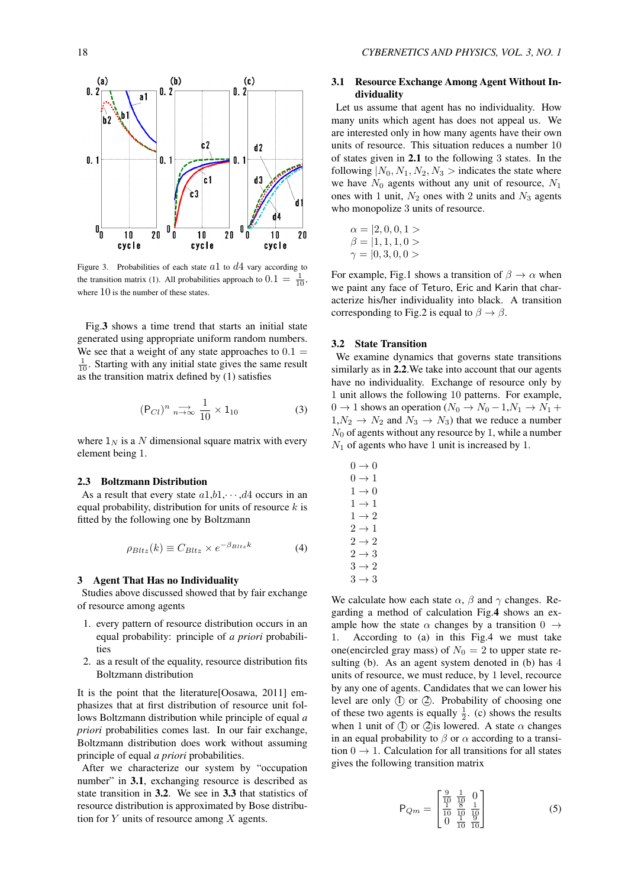

Figure 3. Probabilities of each state *a*1 to *d*4 vary according to the transition matrix (1). All probabilities approach to  $0.1 = \frac{1}{10}$ , where  $10$  is the number of these states.

Fig.3 shows a time trend that starts an initial state generated using appropriate uniform random numbers. We see that a weight of any state approaches to  $0.1 =$  $\frac{1}{10}$ . Starting with any initial state gives the same result as the transition matrix defined by  $(1)$  satisfies

$$
(\mathsf{P}_{Cl})^n \underset{n \to \infty}{\longrightarrow} \frac{1}{10} \times 1_{10} \tag{3}
$$

where  $1_N$  is a N dimensional square matrix with every element being 1.

## 2.3 Boltzmann Distribution

As a result that every state  $a1,b1,\cdots,d4$  occurs in an equal probability, distribution for units of resource *k* is fitted by the following one by Boltzmann

$$
\rho_{Bltz}(k) \equiv C_{Bltz} \times e^{-\beta_{Bltz}k} \tag{4}
$$

#### 3 Agent That Has no Individuality

Studies above discussed showed that by fair exchange of resource among agents

- 1. every pattern of resource distribution occurs in an equal probability: principle of *a priori* probabilities
- 2. as a result of the equality, resource distribution fits Boltzmann distribution

It is the point that the literature[Oosawa, 2011] emphasizes that at first distribution of resource unit follows Boltzmann distribution while principle of equal *a priori* probabilities comes last. In our fair exchange, Boltzmann distribution does work without assuming principle of equal *a priori* probabilities.

After we characterize our system by "occupation number" in 3.1, exchanging resource is described as state transition in 3.2. We see in 3.3 that statistics of resource distribution is approximated by Bose distribution for *Y* units of resource among *X* agents.

# 3.1 Resource Exchange Among Agent Without Individuality

Let us assume that agent has no individuality. How many units which agent has does not appeal us. We are interested only in how many agents have their own units of resource. This situation reduces a number 10 of states given in 2.1 to the following 3 states. In the following  $|N_0, N_1, N_2, N_3|$  indicates the state where we have  $N_0$  agents without any unit of resource,  $N_1$ ones with 1 unit,  $N_2$  ones with 2 units and  $N_3$  agents who monopolize 3 units of resource.

$$
\alpha = |2, 0, 0, 1>
$$
  

$$
\beta = |1, 1, 1, 0>
$$
  

$$
\gamma = |0, 3, 0, 0>
$$

For example, Fig.1 shows a transition of  $\beta \rightarrow \alpha$  when we paint any face of Teturo, Eric and Karin that characterize his/her individuality into black. A transition corresponding to Fig.2 is equal to  $\beta \rightarrow \beta$ .

## 3.2 State Transition

We examine dynamics that governs state transitions similarly as in 2.2. We take into account that our agents have no individuality. Exchange of resource only by 1 unit allows the following 10 patterns. For example, 0 → 1 shows an operation ( $N_0$  →  $N_0$  − 1, $N_1$  →  $N_1$  +  $1, N_2 \rightarrow N_2$  and  $N_3 \rightarrow N_3$ ) that we reduce a number  $N_0$  of agents without any resource by 1, while a number  $N_1$  of agents who have 1 unit is increased by 1.

$$
0 \rightarrow 0
$$
  
\n
$$
0 \rightarrow 1
$$
  
\n
$$
1 \rightarrow 0
$$
  
\n
$$
1 \rightarrow 1
$$
  
\n
$$
2 \rightarrow 1
$$
  
\n
$$
2 \rightarrow 2
$$
  
\n
$$
2 \rightarrow 3
$$
  
\n
$$
3 \rightarrow 2
$$
  
\n
$$
3 \rightarrow 3
$$

We calculate how each state  $\alpha$ ,  $\beta$  and  $\gamma$  changes. Regarding a method of calculation Fig.4 shows an example how the state  $\alpha$  changes by a transition  $0 \rightarrow 1$ . According to (a) in this Fig.4 we must take 1. According to (a) in this Fig.4 we must take one(encircled gray mass) of  $N_0 = 2$  to upper state resulting (b). As an agent system denoted in (b) has 4 units of resource, we must reduce, by 1 level, recource by any one of agents. Candidates that we can lower his level are only (I) or (2). Probability of choosing one of these two agents is equally  $\frac{1}{2}$ . (c) shows the results when 1 unit of  $(1)$  or  $(2)$  is lowered. A state  $\alpha$  changes in an equal probability to  $\beta$  or  $\alpha$  according to a transition  $0 \rightarrow 1$ . Calculation for all transitions for all states gives the following transition matrix

$$
P_{Qm} = \begin{bmatrix} \frac{9}{10} & \frac{1}{10} & 0\\ \frac{1}{10} & \frac{8}{10} & \frac{1}{10} \\ 0 & \frac{1}{10} & \frac{9}{10} \end{bmatrix}
$$
 (5)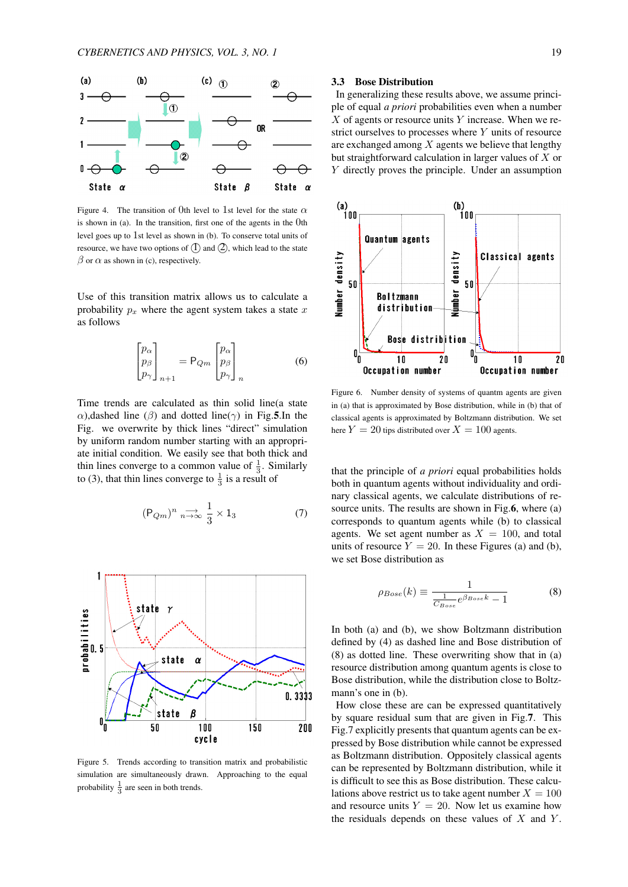

Figure 4. The transition of 0th level to 1st level for the state *α* is shown in (a). In the transition, first one of the agents in the 0th level goes up to 1st level as shown in (b). To conserve total units of resource, we have two options of  $(1)$  and  $(2)$ , which lead to the state  $\beta$  or  $\alpha$  as shown in (c), respectively.

Use of this transition matrix allows us to calculate a probability  $p_x$  where the agent system takes a state  $x$ as follows

$$
\begin{bmatrix} p_{\alpha} \\ p_{\beta} \\ p_{\gamma} \end{bmatrix}_{n+1} = \mathsf{P}_{Qm} \begin{bmatrix} p_{\alpha} \\ p_{\beta} \\ p_{\gamma} \end{bmatrix}_{n} \tag{6}
$$

Time trends are calculated as thin solid line(a state *α*),dashed line (*β*) and dotted line( $\gamma$ ) in Fig.5.In the Fig. we overwrite by thick lines "direct" simulation by uniform random number starting with an appropriate initial condition. We easily see that both thick and thin lines converge to a common value of  $\frac{1}{3}$ . Similarly to (3), that thin lines converge to  $\frac{1}{3}$  is a result of

$$
(\mathsf{P}_{Qm})^n \underset{n \to \infty}{\longrightarrow} \frac{1}{3} \times 1_3 \tag{7}
$$



Figure 5. Trends according to transition matrix and probabilistic simulation are simultaneously drawn. Approaching to the equal probability  $\frac{1}{3}$  are seen in both trends.

#### 3.3 Bose Distribution

In generalizing these results above, we assume principle of equal *a priori* probabilities even when a number *X* of agents or resource units *Y* increase. When we restrict ourselves to processes where *Y* units of resource are exchanged among *X* agents we believe that lengthy but straightforward calculation in larger values of *X* or *Y* directly proves the principle. Under an assumption



Figure 6. Number density of systems of quantm agents are given in (a) that is approximated by Bose distribution, while in (b) that of classical agents is approximated by Boltzmann distribution. We set here  $Y = 20$  tips distributed over  $X = 100$  agents.

that the principle of *a priori* equal probabilities holds both in quantum agents without individuality and ordinary classical agents, we calculate distributions of resource units. The results are shown in Fig.6, where (a) corresponds to quantum agents while (b) to classical agents. We set agent number as  $X = 100$ , and total units of resource  $Y = 20$ . In these Figures (a) and (b), we set Bose distribution as

$$
\rho_{Bose}(k) \equiv \frac{1}{\frac{1}{C_{Bose}}e^{\beta_{Bose}k} - 1} \tag{8}
$$

In both (a) and (b), we show Boltzmann distribution defined by (4) as dashed line and Bose distribution of (8) as dotted line. These overwriting show that in (a) resource distribution among quantum agents is close to Bose distribution, while the distribution close to Boltzmann's one in (b).

How close these are can be expressed quantitatively by square residual sum that are given in Fig.7. This Fig.7 explicitly presents that quantum agents can be expressed by Bose distribution while cannot be expressed as Boltzmann distribution. Oppositely classical agents can be represented by Boltzmann distribution, while it is difficult to see this as Bose distribution. These calculations above restrict us to take agent number  $X = 100$ and resource units  $Y = 20$ . Now let us examine how the residuals depends on these values of *X* and *Y* .